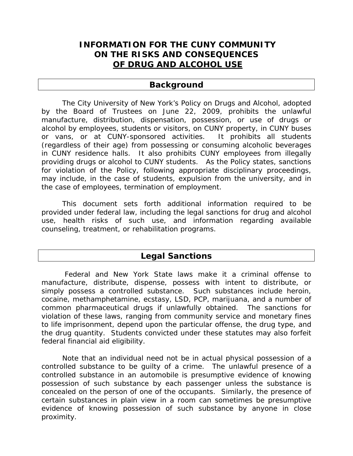# **INFORMATION FOR THE CUNY COMMUNITY ON THE RISKS AND CONSEQUENCES OF DRUG AND ALCOHOL USE**

# **Background**

 The City University of New York's Policy on Drugs and Alcohol, adopted by the Board of Trustees on June 22, 2009, prohibits the unlawful manufacture, distribution, dispensation, possession, or use of drugs or alcohol by employees, students or visitors, on CUNY property, in CUNY buses or vans, or at CUNY-sponsored activities. It prohibits all students (regardless of their age) from possessing or consuming alcoholic beverages in CUNY residence halls. It also prohibits CUNY employees from illegally providing drugs or alcohol to CUNY students. As the Policy states, sanctions for violation of the Policy, following appropriate disciplinary proceedings, may include, in the case of students, expulsion from the university, and in the case of employees, termination of employment.

This document sets forth additional information required to be provided under federal law, including the legal sanctions for drug and alcohol use, health risks of such use, and information regarding available counseling, treatment, or rehabilitation programs.

# **Legal Sanctions**

 Federal and New York State laws make it a criminal offense to manufacture, distribute, dispense, possess with intent to distribute, or simply possess a controlled substance. Such substances include heroin, cocaine, methamphetamine, ecstasy, LSD, PCP, marijuana, and a number of common pharmaceutical drugs if unlawfully obtained. The sanctions for violation of these laws, ranging from community service and monetary fines to life imprisonment, depend upon the particular offense, the drug type, and the drug quantity. Students convicted under these statutes may also forfeit federal financial aid eligibility.

Note that an individual need not be in actual physical possession of a controlled substance to be guilty of a crime. The unlawful presence of a controlled substance in an automobile is presumptive evidence of knowing possession of such substance by each passenger unless the substance is concealed on the person of one of the occupants. Similarly, the presence of certain substances in plain view in a room can sometimes be presumptive evidence of knowing possession of such substance by anyone in close proximity.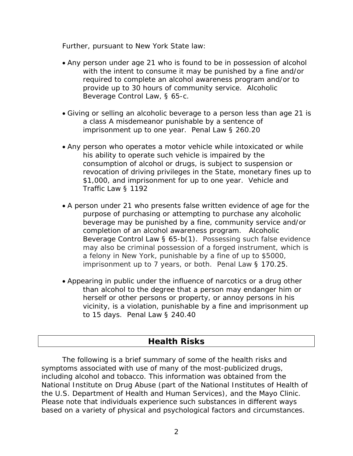## *Further, pursuant to New York State law:*

- Any person under age 21 who is found to be in possession of alcohol with the intent to consume it may be punished by a fine and/or required to complete an alcohol awareness program and/or to provide up to 30 hours of community service. Alcoholic Beverage Control Law, § 65-c.
- Giving or selling an alcoholic beverage to a person less than age 21 is a class A misdemeanor punishable by a sentence of imprisonment up to one year. Penal Law § 260.20
- Any person who operates a motor vehicle while intoxicated or while his ability to operate such vehicle is impaired by the consumption of alcohol or drugs, is subject to suspension or revocation of driving privileges in the State, monetary fines up to \$1,000, and imprisonment for up to one year. Vehicle and Traffic Law § 1192
- A person under 21 who presents false written evidence of age for the purpose of purchasing or attempting to purchase any alcoholic beverage may be punished by a fine, community service and/or completion of an alcohol awareness program. Alcoholic Beverage Control Law § 65-b(1). Possessing such false evidence may also be criminal possession of a forged instrument, which is a felony in New York, punishable by a fine of up to \$5000, imprisonment up to 7 years, or both. Penal Law § 170.25.
- Appearing in public under the influence of narcotics or a drug other than alcohol to the degree that a person may endanger him or herself or other persons or property, or annoy persons in his vicinity, is a violation, punishable by a fine and imprisonment up to 15 days. Penal Law § 240.40

# **Health Risks**

The following is a brief summary of some of the health risks and symptoms associated with use of many of the most-publicized drugs, including alcohol and tobacco. This information was obtained from the National Institute on Drug Abuse (part of the National Institutes of Health of the U.S. Department of Health and Human Services), and the Mayo Clinic. Please note that individuals experience such substances in different ways based on a variety of physical and psychological factors and circumstances.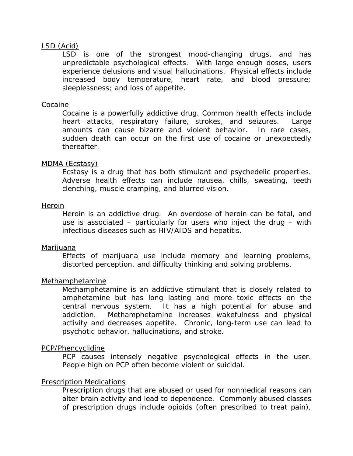### LSD (Acid)

LSD is one of the strongest mood-changing drugs, and has unpredictable psychological effects. With large enough doses, users experience delusions and visual hallucinations. Physical effects include increased body temperature, heart rate, and blood pressure; sleeplessness; and loss of appetite.

#### Cocaine

Cocaine is a powerfully addictive drug. Common health effects include heart attacks, respiratory failure, strokes, and seizures. Large amounts can cause bizarre and violent behavior. In rare cases, sudden death can occur on the first use of cocaine or unexpectedly thereafter.

#### MDMA (Ecstasy)

Ecstasy is a drug that has both stimulant and psychedelic properties. Adverse health effects can include nausea, chills, sweating, teeth clenching, muscle cramping, and blurred vision.

#### Heroin

Heroin is an addictive drug. An overdose of heroin can be fatal, and use is associated – particularly for users who inject the drug – with infectious diseases such as HIV/AIDS and hepatitis.

#### Marijuana

Effects of marijuana use include memory and learning problems, distorted perception, and difficulty thinking and solving problems.

#### Methamphetamine

Methamphetamine is an addictive stimulant that is closely related to amphetamine but has long lasting and more toxic effects on the central nervous system. It has a high potential for abuse and addiction. Methamphetamine increases wakefulness and physical activity and decreases appetite. Chronic, long-term use can lead to psychotic behavior, hallucinations, and stroke.

#### PCP/Phencyclidine

PCP causes intensely negative psychological effects in the user. People high on PCP often become violent or suicidal.

#### Prescription Medications

Prescription drugs that are abused or used for nonmedical reasons can alter brain activity and lead to dependence. Commonly abused classes of prescription drugs include opioids (often prescribed to treat pain),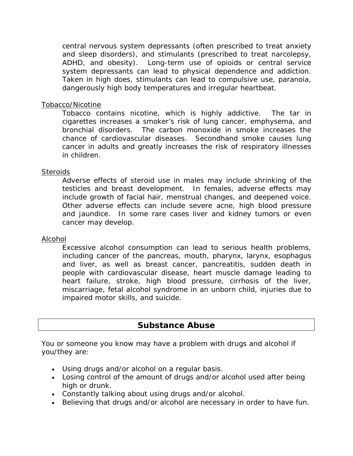central nervous system depressants (often prescribed to treat anxiety and sleep disorders), and stimulants (prescribed to treat narcolepsy, ADHD, and obesity). Long-term use of opioids or central service system depressants can lead to physical dependence and addiction. Taken in high does, stimulants can lead to compulsive use, paranoia, dangerously high body temperatures and irregular heartbeat.

## Tobacco/Nicotine

Tobacco contains nicotine, which is highly addictive. The tar in cigarettes increases a smoker's risk of lung cancer, emphysema, and bronchial disorders. The carbon monoxide in smoke increases the chance of cardiovascular diseases. Secondhand smoke causes lung cancer in adults and greatly increases the risk of respiratory illnesses in children.

## **Steroids**

Adverse effects of steroid use in males may include shrinking of the testicles and breast development. In females, adverse effects may include growth of facial hair, menstrual changes, and deepened voice. Other adverse effects can include severe acne, high blood pressure and jaundice. In some rare cases liver and kidney tumors or even cancer may develop.

## Alcohol

Excessive alcohol consumption can lead to serious health problems, including cancer of the pancreas, mouth, pharynx, larynx, esophagus and liver, as well as breast cancer, pancreatitis, sudden death in people with cardiovascular disease, heart muscle damage leading to heart failure, stroke, high blood pressure, cirrhosis of the liver, miscarriage, fetal alcohol syndrome in an unborn child, injuries due to impaired motor skills, and suicide.

# **Substance Abuse**

You or someone you know may have a problem with drugs and alcohol if you/they are:

- Using drugs and/or alcohol on a regular basis.
- Losing control of the amount of drugs and/or alcohol used after being high or drunk.
- Constantly talking about using drugs and/or alcohol.
- Believing that drugs and/or alcohol are necessary in order to have fun.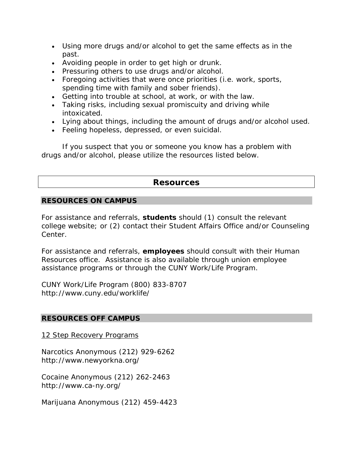- Using more drugs and/or alcohol to get the same effects as in the past.
- Avoiding people in order to get high or drunk.
- Pressuring others to use drugs and/or alcohol.
- Foregoing activities that were once priorities (i.e. work, sports, spending time with family and sober friends).
- Getting into trouble at school, at work, or with the law.
- Taking risks, including sexual promiscuity and driving while intoxicated.
- Lying about things, including the amount of drugs and/or alcohol used.
- Feeling hopeless, depressed, or even suicidal.

If you suspect that you or someone you know has a problem with drugs and/or alcohol, please utilize the resources listed below.

# **Resources**

# **RESOURCES ON CAMPUS**

For assistance and referrals, **students** should (1) consult the relevant college website; or (2) contact their Student Affairs Office and/or Counseling Center.

For assistance and referrals, **employees** should consult with their Human Resources office. Assistance is also available through union employee assistance programs or through the CUNY Work/Life Program.

CUNY Work/Life Program (800) 833-8707 http://www.cuny.edu/worklife/

## **RESOURCES OFF CAMPUS**

12 Step Recovery Programs

Narcotics Anonymous (212) 929-6262 http://www.newyorkna.org/

Cocaine Anonymous (212) 262-2463 http://www.ca-ny.org/

Marijuana Anonymous (212) 459-4423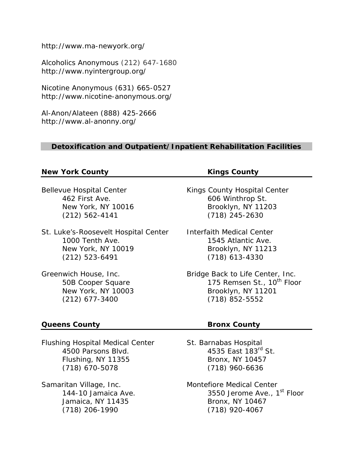http://www.ma-newyork.org/

Alcoholics Anonymous (212) 647-1680 http://www.nyintergroup.org/

Nicotine Anonymous (631) 665-0527 http://www.nicotine-anonymous.org/

Al-Anon/Alateen (888) 425-2666 http://www.al-anonny.org/

## **Detoxification and Outpatient/Inpatient Rehabilitation Facilities**

## **New York County Kings County**

St. Luke's-Roosevelt Hospital Center Interfaith Medical Center 1000 Tenth Ave. **1545 Atlantic Ave.** New York, NY 10019 Brooklyn, NY 11213 (212) 523-6491 (718) 613-4330

Flushing Hospital Medical Center St. Barnabas Hospital 4500 Parsons Blvd. 4535 East 183<sup>rd</sup> St. Flushing, NY 11355 Bronx, NY 10457 (718) 670-5078 (718) 960-6636

Samaritan Village, Inc. The Montefiore Medical Center

Bellevue Hospital Center **Kings County Hospital Center** 462 First Ave. 606 Winthrop St. New York, NY 10016 Brooklyn, NY 11203 (212) 562-4141 (718) 245-2630

Greenwich House, Inc. The Studie Back to Life Center, Inc. 50B Cooper Square 175 Remsen St., 10<sup>th</sup> Floor New York, NY 10003 Brooklyn, NY 11201 (212) 677-3400 (718) 852-5552

# **Queens County County Results** Bronx County

144-10 Jamaica Ave. 2010 12550 Jerome Ave., 1<sup>st</sup> Floor Jamaica, NY 11435 Bronx, NY 10467 (718) 206-1990 (718) 920-4067